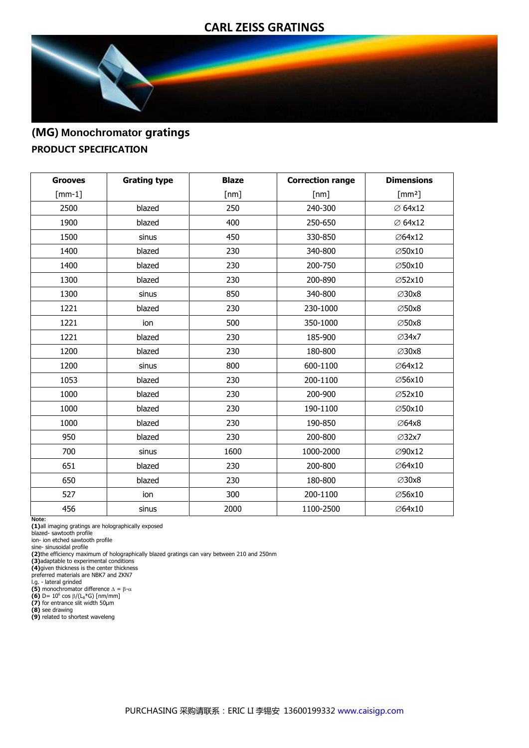### **CARL ZEISS GRATINGS**



# (MG) **Monochromator** gratings PRODUCT SPECIFICATION

| <b>Grooves</b> | <b>Grating type</b> | <b>Blaze</b> | <b>Correction range</b> | <b>Dimensions</b>    |
|----------------|---------------------|--------------|-------------------------|----------------------|
| $[mm-1]$       |                     | [nm]         | [nm]                    | $\lceil mm^2 \rceil$ |
| 2500           | blazed              | 250          | 240-300                 | ∅ 64x12              |
| 1900           | blazed              | 400          | 250-650                 | ∅ 64x12              |
| 1500           | sinus               | 450          | 330-850                 | ∅64x12               |
| 1400           | blazed              | 230          | 340-800                 | ∅50x10               |
| 1400           | blazed              | 230          | 200-750                 | ∅50x10               |
| 1300           | blazed              | 230          | 200-890                 | ∅52x10               |
| 1300           | sinus               | 850          | 340-800                 | <b>⊘30x8</b>         |
| 1221           | blazed              | 230          | 230-1000                | <b>⊘50x8</b>         |
| 1221           | ion                 | 500          | 350-1000                | <b>⊘50x8</b>         |
| 1221           | blazed              | 230          | 185-900                 | ∅34x7                |
| 1200           | blazed              | 230          | 180-800                 | <b>⊘30x8</b>         |
| 1200           | sinus               | 800          | 600-1100                | ∅64x12               |
| 1053           | blazed              | 230          | 200-1100                | ∅56x10               |
| 1000           | blazed              | 230          | 200-900                 | ∅52x10               |
| 1000           | blazed              | 230          | 190-1100                | ∅50x10               |
| 1000           | blazed              | 230          | 190-850                 | <b>⊘64x8</b>         |
| 950            | blazed              | 230          | 200-800                 | ∅32x7                |
| 700            | sinus               | 1600         | 1000-2000               | ∅90x12               |
| 651            | blazed              | 230          | 200-800                 | ∅64x10               |
| 650            | blazed              | 230          | 180-800                 | <b>⊘30x8</b>         |
| 527            | ion                 | 300          | 200-1100                | ∅56x10               |
| 456            | sinus               | 2000         | 1100-2500               | ∅64x10               |

**Note:**

**(1)**all imaging gratings are holographically exposed

blazed- sawtooth profile ion- ion etched sawtooth profile

sine- sinusoidal profile **(2)**the efficiency maximum of holographically blazed gratings can vary between 210 and 250nm

**(3)**adaptable to experimental conditions **(4)**given thickness is the center thickness

preferred materials are NBK7 and ZKN7<br>l.g. - lateral grinded<br>**(5)** monochromator difference Δ = β-α<br>**(6)** D= 10<sup>6</sup> cos β/(L<sub>B</sub>\*G) [nm/mm]

**(7)** for entrance slit width 50µm **(8)** see drawing

**(9)** related to shortest waveleng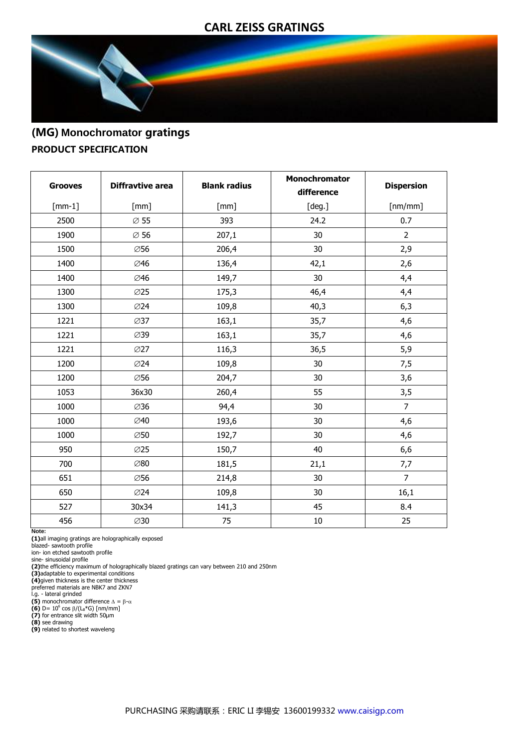### **CARL ZEISS GRATINGS**



## (MG) **Monochromator** gratings PRODUCT SPECIFICATION

| <b>Grooves</b> | <b>Diffravtive area</b> | <b>Blank radius</b> | Monochromator<br>difference | <b>Dispersion</b> |
|----------------|-------------------------|---------------------|-----------------------------|-------------------|
| $[mm-1]$       | [mm]                    | [mm]                | [deg.]                      | [nm/mm]           |
| 2500           | $\varnothing$ 55        | 393                 | 24.2                        | 0.7               |
| 1900           | $\varnothing$ 56        | 207,1               | 30                          | $\overline{2}$    |
| 1500           | ∅56                     | 206,4               | 30                          | 2,9               |
| 1400           | ∅46                     | 136,4               | 42,1                        | 2,6               |
| 1400           | ∅46                     | 149,7               | 30                          | 4,4               |
| 1300           | <b>Ø25</b>              | 175,3               | 46,4                        | 4,4               |
| 1300           | ∅24                     | 109,8               | 40,3                        | 6,3               |
| 1221           | $\varnothing$ 37        | 163,1               | 35,7                        | 4,6               |
| 1221           | ∅39                     | 163,1               | 35,7                        | 4,6               |
| 1221           | $\varnothing$ 27        | 116,3               | 36,5                        | 5,9               |
| 1200           | ∅24                     | 109,8               | 30                          | 7,5               |
| 1200           | ∅56                     | 204,7               | 30                          | 3,6               |
| 1053           | 36x30                   | 260,4               | 55                          | 3,5               |
| 1000           | ∅36                     | 94,4                | 30                          | $\overline{7}$    |
| 1000           | ∅40                     | 193,6               | 30                          | 4,6               |
| 1000           | ∅50                     | 192,7               | 30                          | 4,6               |
| 950            | <b>Ø25</b>              | 150,7               | 40                          | 6,6               |
| 700            | ∅80                     | 181,5               | 21,1                        | 7,7               |
| 651            | ∅56                     | 214,8               | 30                          | $\overline{7}$    |
| 650            | ∅24                     | 109,8               | 30                          | 16,1              |
| 527            | 30x34                   | 141,3               | 45                          | 8.4               |
| 456            | ∅30                     | 75                  | $10\,$                      | 25                |

**Note:**

**(1)**all imaging gratings are holographically exposed blazed- sawtooth profile

ion- ion etched sawtooth profile sine- sinusoidal profile

**(2)**the efficiency maximum of holographically blazed gratings can vary between 210 and 250nm **(3)**adaptable to experimental conditions

**(4)**given thickness is the center thickness preferred materials are NBK7 and ZKN7 l.g. - lateral grinded

**(5)** monochromator difference  $\Delta = \beta \cdot \alpha$ <br>**(6)** D= 10<sup>6</sup> cos  $\beta/(L_B*G)$  [nm/mm]<br>**(7)** for entrance slit width 50µm

**(8)** see drawing **(9)** related to shortest waveleng